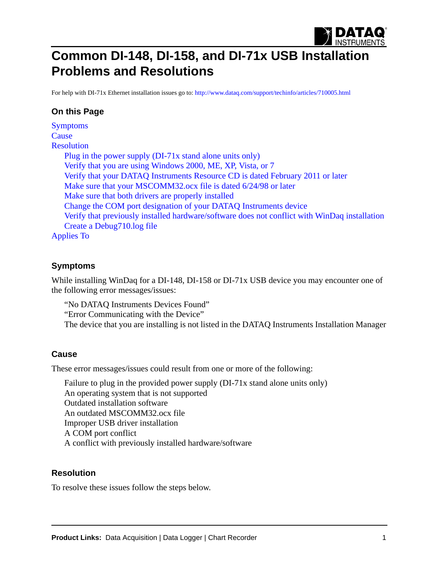

# **Common DI-148, DI-158, and DI-71x USB Installation Problems and Resolutions**

[For help with DI-71x Ethernet installation issues go to:](http://www.dataq.com/support/techinfo/articles/710005.html) http://www.dataq.com/support/techinfo/articles/710005.html

## **On this Page**

[Symptoms](#page-0-0) **[Cause](#page-0-1)** [Resolution](#page-0-2) [Plug in the power supply \(DI-71x stand alone units only\)](#page-1-0) [Verify that you are using Windows 2000, ME, XP, Vista, or 7](#page-1-1) [Verify that your DATAQ Instruments Resource CD is dated February 2011 or later](#page-1-2) [Make sure that your MSCOMM32.ocx file is dated 6/24/98 or later](#page-1-3) [Make sure that both drivers are properly installed](#page-2-0) [Change the COM port designation of your DATAQ Instruments device](#page-5-0) [Verify that previously installed hardware/software does not conflict with WinDaq installation](#page-9-0) [Create a Debug710.log file](#page-11-0) [Applies To](#page-11-1)

## <span id="page-0-0"></span>**Symptoms**

While installing WinDaq for a DI-148, DI-158 or DI-71x USB device you may encounter one of the following error messages/issues:

"No DATAQ Instruments Devices Found"

"Error Communicating with the Device"

The device that you are installing is not listed in the DATAQ Instruments Installation Manager

## <span id="page-0-1"></span>**Cause**

These error messages/issues could result from one or more of the following:

Failure to plug in the provided power supply (DI-71x stand alone units only) An operating system that is not supported Outdated installation software An outdated MSCOMM32.ocx file Improper USB driver installation A COM port conflict A conflict with previously installed hardware/software

## <span id="page-0-2"></span>**Resolution**

To resolve these issues follow the steps below.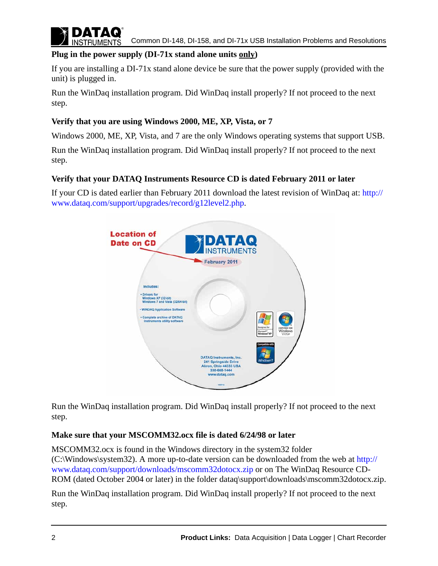

## <span id="page-1-0"></span>**Plug in the power supply (DI-71x stand alone units only)**

If you are installing a DI-71x stand alone device be sure that the power supply (provided with the unit) is plugged in.

Run the WinDaq installation program. Did WinDaq install properly? If not proceed to the next step.

## <span id="page-1-1"></span>**Verify that you are using Windows 2000, ME, XP, Vista, or 7**

Windows 2000, ME, XP, Vista, and 7 are the only Windows operating systems that support USB.

Run the WinDaq installation program. Did WinDaq install properly? If not proceed to the next step.

## <span id="page-1-2"></span>**Verify that your DATAQ Instruments Resource CD is dated February 2011 or later**

[If your CD is dated earlier than February 2011 download the latest revision of WinDaq at: h](http://www.dataq.com/support/upgrades/record/g12level2.php)ttp:// www.dataq.com/support/upgrades/record/g12level2.php.



Run the WinDaq installation program. Did WinDaq install properly? If not proceed to the next step.

## <span id="page-1-3"></span>**Make sure that your MSCOMM32.ocx file is dated 6/24/98 or later**

[MSCOMM32.ocx is found in the Windows directory in the system32 folder](http://www.dataq.com/support/downloads/mscomm32dotocx.zip)  [\(C:\Windows\system32\). A more up-to-date version can be downloaded from the web at h](http://www.dataq.com/support/downloads/mscomm32dotocx.zip)ttp:// www.dataq.com/support/downloads/mscomm32dotocx.zip or on The WinDaq Resource CD-ROM (dated October 2004 or later) in the folder dataq\support\downloads\mscomm32dotocx.zip.

Run the WinDaq installation program. Did WinDaq install properly? If not proceed to the next step.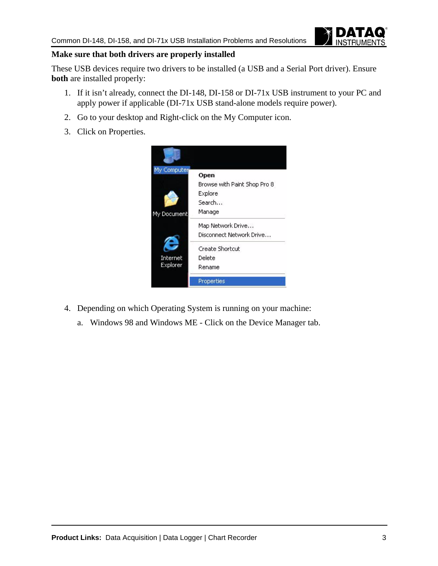

## <span id="page-2-0"></span>**Make sure that both drivers are properly installed**

These USB devices require two drivers to be installed (a USB and a Serial Port driver). Ensure **both** are installed properly:

- 1. If it isn't already, connect the DI-148, DI-158 or DI-71x USB instrument to your PC and apply power if applicable (DI-71x USB stand-alone models require power).
- 2. Go to your desktop and Right-click on the My Computer icon.
- 3. Click on Properties.



- 4. Depending on which Operating System is running on your machine:
	- a. Windows 98 and Windows ME Click on the Device Manager tab.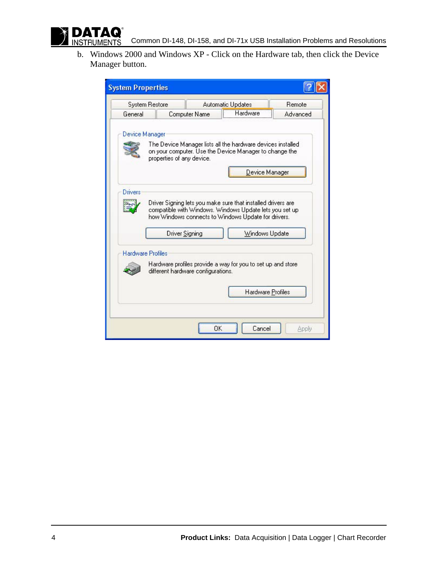

b. Windows 2000 and Windows XP - Click on the Hardware tab, then click the Device Manager button.

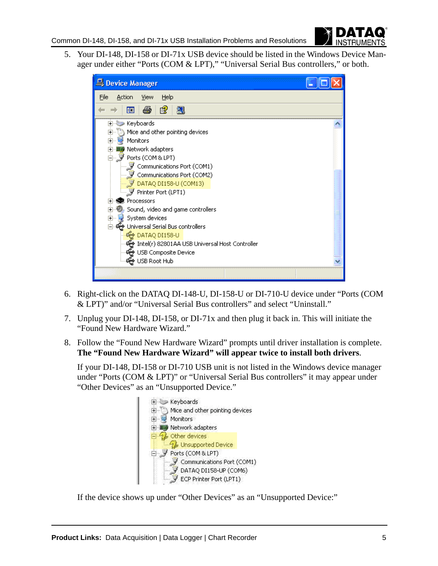

5. Your DI-148, DI-158 or DI-71x USB device should be listed in the Windows Device Manager under either "Ports (COM & LPT)," "Universal Serial Bus controllers," or both.

| Device Manager                                   |  |
|--------------------------------------------------|--|
| Help<br>File<br><b>Action</b><br>View            |  |
| 麘<br>图<br>盯                                      |  |
| Keyboards<br>$\overline{+}$                      |  |
| Mice and other pointing devices                  |  |
| Monitors                                         |  |
| 由 图 Network adapters                             |  |
| 白… Jy Ports (COM & LPT)                          |  |
| – J Communications Port (COM1)                   |  |
| -9<br>Communications Port (COM2)                 |  |
| DATAQ DI158-U (COM13)                            |  |
| Printer Port (LPT1)                              |  |
| <b>R</b> Processors                              |  |
| , Sound, video and game controllers              |  |
| System devices<br>$\overline{+}$                 |  |
| Universal Serial Bus controllers                 |  |
| ఆ pataQ DI158-U                                  |  |
| € Intel(r) 82801AA USB Universal Host Controller |  |
| <del>《 </del> USB Composite Device               |  |
| မွေး USB Root Hub                                |  |
|                                                  |  |

- 6. Right-click on the DATAQ DI-148-U, DI-158-U or DI-710-U device under "Ports (COM & LPT)" and/or "Universal Serial Bus controllers" and select "Uninstall."
- 7. Unplug your DI-148, DI-158, or DI-71x and then plug it back in. This will initiate the "Found New Hardware Wizard."
- 8. Follow the "Found New Hardware Wizard" prompts until driver installation is complete. **The "Found New Hardware Wizard" will appear twice to install both drivers**.

If your DI-148, DI-158 or DI-710 USB unit is not listed in the Windows device manager under "Ports (COM & LPT)" or "Universal Serial Bus controllers" it may appear under "Other Devices" as an "Unsupported Device."



If the device shows up under "Other Devices" as an "Unsupported Device:"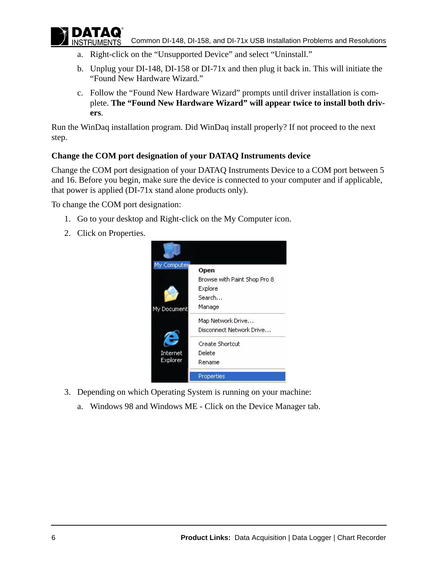

- a. Right-click on the "Unsupported Device" and select "Uninstall."
- b. Unplug your DI-148, DI-158 or DI-71x and then plug it back in. This will initiate the "Found New Hardware Wizard."
- c. Follow the "Found New Hardware Wizard" prompts until driver installation is complete. **The "Found New Hardware Wizard" will appear twice to install both drivers**.

Run the WinDaq installation program. Did WinDaq install properly? If not proceed to the next step.

## <span id="page-5-0"></span>**Change the COM port designation of your DATAQ Instruments device**

Change the COM port designation of your DATAQ Instruments Device to a COM port between 5 and 16. Before you begin, make sure the device is connected to your computer and if applicable, that power is applied (DI-71x stand alone products only).

To change the COM port designation:

- 1. Go to your desktop and Right-click on the My Computer icon.
- 2. Click on Properties.



- 3. Depending on which Operating System is running on your machine:
	- a. Windows 98 and Windows ME Click on the Device Manager tab.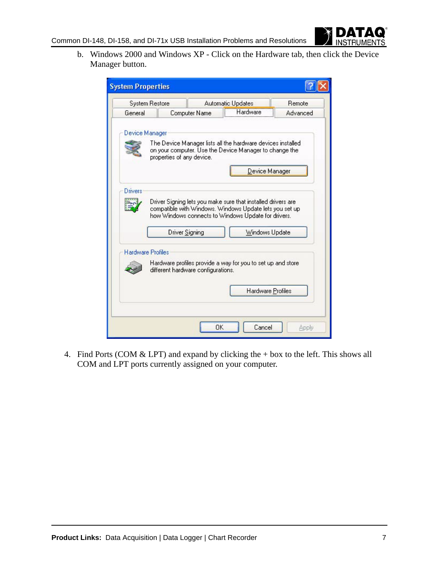

b. Windows 2000 and Windows XP - Click on the Hardware tab, then click the Device Manager button.

| <b>System Properties</b> |                                    |    |                                                                                                                                                                                                  |          |
|--------------------------|------------------------------------|----|--------------------------------------------------------------------------------------------------------------------------------------------------------------------------------------------------|----------|
| <b>System Restore</b>    |                                    |    | Automatic Updates                                                                                                                                                                                | Remote   |
| General                  | Computer Name                      |    | Hardware                                                                                                                                                                                         | Advanced |
| Device Manager           | properties of any device.          |    | The Device Manager lists all the hardware devices installed<br>on your computer. Use the Device Manager to change the<br>Device Manager                                                          |          |
| Drivers                  | <b>Driver Signing</b>              |    | Driver Signing lets you make sure that installed drivers are<br>compatible with Windows. Windows Update lets you set up<br>how Windows connects to Windows Update for drivers.<br>Windows Update |          |
| <b>Hardware Profiles</b> | different hardware configurations. |    | Hardware profiles provide a way for you to set up and store                                                                                                                                      |          |
|                          |                                    |    | Hardware Profiles                                                                                                                                                                                |          |
|                          |                                    | OK | Cancel                                                                                                                                                                                           | Apply    |

4. Find Ports (COM & LPT) and expand by clicking the + box to the left. This shows all COM and LPT ports currently assigned on your computer.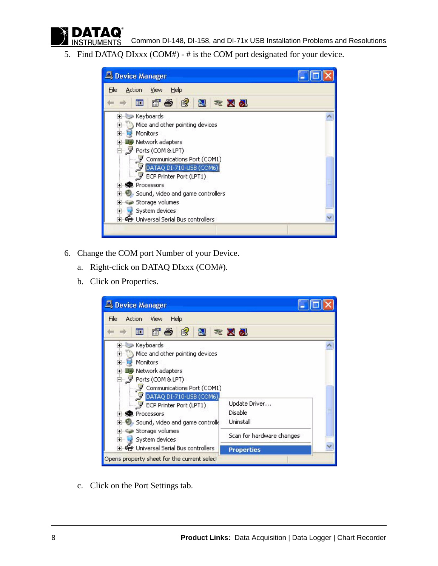**INSTRUMENTS** 

5. Find DATAQ DIxxx (COM#) - # is the COM port designated for your device.

| Device Manager                                                                                                                                                                                                                                                                                                                                                                                                    |  |
|-------------------------------------------------------------------------------------------------------------------------------------------------------------------------------------------------------------------------------------------------------------------------------------------------------------------------------------------------------------------------------------------------------------------|--|
| Help<br>File<br>View<br>Action                                                                                                                                                                                                                                                                                                                                                                                    |  |
| 白色 白凤 《又见<br>丽                                                                                                                                                                                                                                                                                                                                                                                                    |  |
| Keyboards<br>$+$<br>Mice and other pointing devices<br>$\overline{+}$<br>$\overline{+}$<br>Monitors<br>· 图 Network adapters<br>$\overline{+}$<br>d y Ports (COM & LPT)<br>Communications Port (COM1)<br>DATAQ DI-710-USB (COM6)<br>ECP Printer Port (LPT1)<br>Processors<br>Sound, video and game controllers<br>$+$<br>Storage volumes<br>System devices<br>$\overline{+}$<br>ఆ Universal Serial Bus controllers |  |
|                                                                                                                                                                                                                                                                                                                                                                                                                   |  |

- 6. Change the COM port Number of your Device.
	- a. Right-click on DATAQ DIxxx (COM#).
	- b. Click on Properties.

| Device Manager                                                                                                                                                                                                                                                                                                                                                                            |                                                                                         |
|-------------------------------------------------------------------------------------------------------------------------------------------------------------------------------------------------------------------------------------------------------------------------------------------------------------------------------------------------------------------------------------------|-----------------------------------------------------------------------------------------|
| Help<br>File<br>Action<br>View                                                                                                                                                                                                                                                                                                                                                            |                                                                                         |
| $\mathbb{B}$<br>q &<br>図<br>盯                                                                                                                                                                                                                                                                                                                                                             | 図の                                                                                      |
| Keyboards<br>$+$<br>Mice and other pointing devices<br>$\overline{+}$<br><b>Monitors</b><br>$\overline{+}$<br>+ 图 Network adapters<br>Ports (COM & LPT)<br>$-1$<br>Communications Port (COM1)<br>DATAQ DI-710-USB (COM6)<br>ECP Printer Port (LPT1)<br>Processors<br>Sound, video and game controlle<br>Storage volumes<br>System devices<br>$+$<br>+ €→ Universal Serial Bus controllers | Update Driver<br>Disable<br>Uninstall<br>Scan for hardware changes<br><b>Properties</b> |
| Opens property sheet for the current selecl                                                                                                                                                                                                                                                                                                                                               |                                                                                         |

c. Click on the Port Settings tab.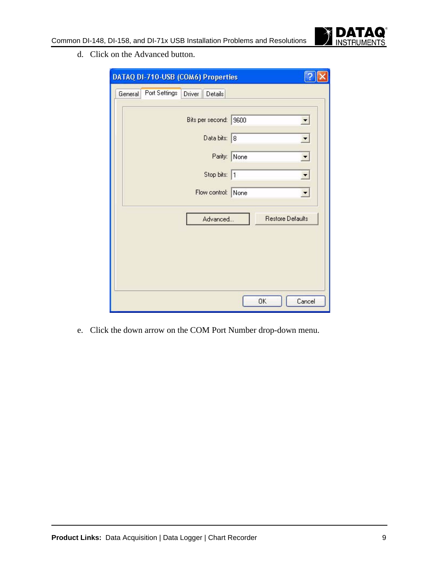

d. Click on the Advanced button.

|         | DATAQ DI-710-USB (COM6) Properties |        |                    |              |                         |                          |
|---------|------------------------------------|--------|--------------------|--------------|-------------------------|--------------------------|
| General | Port Settings                      | Driver | Details            |              |                         |                          |
|         |                                    |        |                    |              |                         |                          |
|         |                                    |        | Bits per second:   | 9600         |                         | $\overline{\phantom{a}}$ |
|         |                                    |        | Data bits: 8       |              |                         |                          |
|         |                                    |        |                    | Parity: None |                         | $\blacktriangledown$     |
|         |                                    |        | Stop bits: 1       |              |                         | ▼                        |
|         |                                    |        | Flow control: None |              |                         | $\overline{\phantom{a}}$ |
|         |                                    |        | Advanced           |              | <b>Restore Defaults</b> |                          |
|         |                                    |        |                    |              |                         |                          |
|         |                                    |        |                    |              |                         |                          |
|         |                                    |        |                    |              |                         |                          |
|         |                                    |        |                    |              | OK                      | Cancel                   |

e. Click the down arrow on the COM Port Number drop-down menu.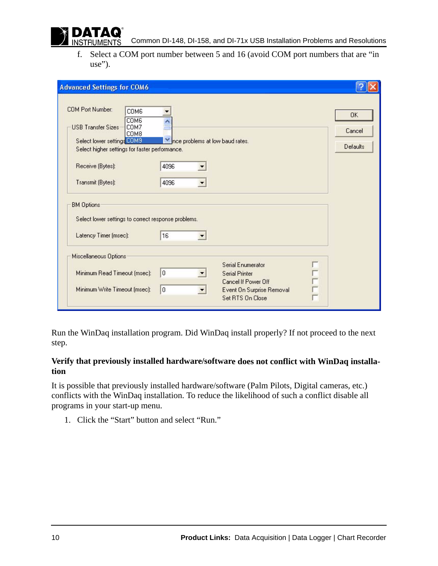

f. Select a COM port number between 5 and 16 (avoid COM port numbers that are "in use").

| <b>Advanced Settings for COM6</b>                                                                                                                                                                             |                                                                           |                                        |
|---------------------------------------------------------------------------------------------------------------------------------------------------------------------------------------------------------------|---------------------------------------------------------------------------|----------------------------------------|
| <b>COM Port Number:</b><br>COM6<br>COM6<br>COM7<br><b>USB Transfer Sizes</b><br>COM8<br>Select lower settings COM9<br>Select higher settings for faster performance.<br>Receive (Bytes):<br>Transmit (Bytes): | Ince problems at low baud rates.<br>4096<br>4096                          | <b>OK</b><br>Cancel<br><b>Defaults</b> |
| <b>BM Options</b>                                                                                                                                                                                             |                                                                           |                                        |
| Select lower settings to correct response problems.                                                                                                                                                           |                                                                           |                                        |
| Latency Timer (msec):                                                                                                                                                                                         | 16                                                                        |                                        |
| Miscellaneous Options                                                                                                                                                                                         |                                                                           |                                        |
| Minimum Read Timeout (msec):                                                                                                                                                                                  | Serial Enumerator<br>0<br><b>Serial Printer</b>                           |                                        |
| Minimum Write Timeout (msec):                                                                                                                                                                                 | Cancel If Power Off<br>0<br>Event On Surprise Removal<br>Set RTS On Close |                                        |

Run the WinDaq installation program. Did WinDaq install properly? If not proceed to the next step.

#### <span id="page-9-0"></span>**Verify that previously installed hardware/software does not conflict with WinDaq installation**

It is possible that previously installed hardware/software (Palm Pilots, Digital cameras, etc.) conflicts with the WinDaq installation. To reduce the likelihood of such a conflict disable all programs in your start-up menu.

1. Click the "Start" button and select "Run."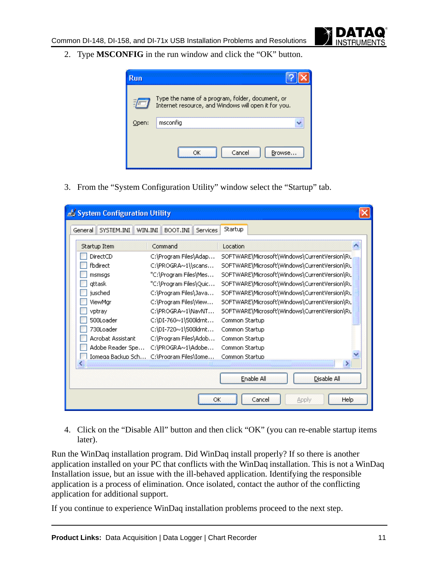2. Type **MSCONFIG** in the run window and click the "OK" button.



3. From the "System Configuration Utility" window select the "Startup" tab.

| System Configuration Utility |                                 |                                              |
|------------------------------|---------------------------------|----------------------------------------------|
| SYSTEM.INI<br>General        | WIN.INI<br>BOOT.INI<br>Services | Startup                                      |
| Startup Item                 | Command                         | Location                                     |
| DirectCD                     | C:\Program Files\Adap…          | SOFTWARE\Microsoft\Windows\CurrentVersion\Ru |
| fbdirect                     | C:\PROGRA~1\\scans              | SOFTWARE\Microsoft\Windows\CurrentVersion\Ru |
| msmsgs                       | "C:\Program Files\Mes           | SOFTWARE\Microsoft\Windows\CurrentVersion\Ru |
| attask                       | "C:\Program Files\Quic…         | SOFTWARE\Microsoft\Windows\CurrentVersion\RL |
| jusched                      | C:\Program Files\Java           | SOFTWARE\Microsoft\Windows\CurrentVersion\RL |
| ViewMar                      | C:\Program Files\View           | SOFTWARE\Microsoft\Windows\CurrentVersion\Ru |
| vptray                       | C:\PROGRA~1\NavNT               | SOFTWARE\Microsoft\Windows\CurrentVersion\Ru |
| 500Loader                    | C:\DI-760~1\500ldrnt            | Common Startup                               |
| 730Loader                    | C:\DI-720~1\500ldrnt            | Common Startup                               |
| Acrobat Assistant            | C:\Program Files\Adob           | Common Startup                               |
| Adobe Reader Spe             | C:\PROGRA~1\Adobe               | Common Startup                               |
| Iomega Backup Sch            | C:\Program Files\Iome           | Common Startup                               |
| K.                           | <b>SHIF</b>                     | ⋗                                            |
|                              |                                 | Enable All<br>Disable All                    |
|                              | ОК                              | Cancel<br>Help<br><b>Apply</b>               |

4. Click on the "Disable All" button and then click "OK" (you can re-enable startup items later).

Run the WinDaq installation program. Did WinDaq install properly? If so there is another application installed on your PC that conflicts with the WinDaq installation. This is not a WinDaq Installation issue, but an issue with the ill-behaved application. Identifying the responsible application is a process of elimination. Once isolated, contact the author of the conflicting application for additional support.

If you continue to experience WinDaq installation problems proceed to the next step.